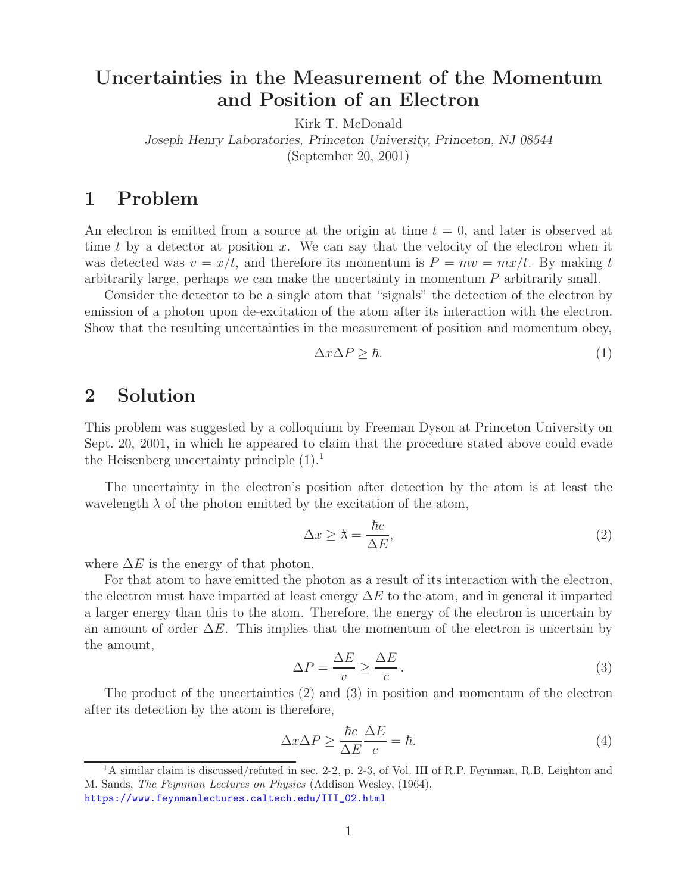## **Uncertainties in the Measurement of the Momentum and Position of an Electron**

Kirk T. McDonald

*Joseph Henry Laboratories, Princeton University, Princeton, NJ 08544*

(September 20, 2001)

## **1 Problem**

An electron is emitted from a source at the origin at time  $t = 0$ , and later is observed at time t by a detector at position  $x$ . We can say that the velocity of the electron when it was detected was  $v = x/t$ , and therefore its momentum is  $P = mv = mx/t$ . By making t arbitrarily large, perhaps we can make the uncertainty in momentum P arbitrarily small.

Consider the detector to be a single atom that "signals" the detection of the electron by emission of a photon upon de-excitation of the atom after its interaction with the electron. Show that the resulting uncertainties in the measurement of position and momentum obey,

$$
\Delta x \Delta P \geq \hbar. \tag{1}
$$

## **2 Solution**

This problem was suggested by a colloquium by Freeman Dyson at Princeton University on Sept. 20, 2001, in which he appeared to claim that the procedure stated above could evade the Heisenberg uncertainty principle  $(1).<sup>1</sup>$ 

The uncertainty in the electron's position after detection by the atom is at least the wavelength  $\lambda$  of the photon emitted by the excitation of the atom,

$$
\Delta x \ge \lambda = \frac{\hbar c}{\Delta E},\tag{2}
$$

where  $\Delta E$  is the energy of that photon.

For that atom to have emitted the photon as a result of its interaction with the electron, the electron must have imparted at least energy  $\Delta E$  to the atom, and in general it imparted a larger energy than this to the atom. Therefore, the energy of the electron is uncertain by an amount of order  $\Delta E$ . This implies that the momentum of the electron is uncertain by the amount,

$$
\Delta P = \frac{\Delta E}{v} \ge \frac{\Delta E}{c} \,. \tag{3}
$$

The product of the uncertainties (2) and (3) in position and momentum of the electron after its detection by the atom is therefore,

$$
\Delta x \Delta P \ge \frac{\hbar c}{\Delta E} \frac{\Delta E}{c} = \hbar. \tag{4}
$$

 $1<sup>1</sup>A$  similar claim is discussed/refuted in sec. 2-2, p. 2-3, of Vol. III of R.P. Feynman, R.B. Leighton and M. Sands, *The Feynman Lectures on Physics* (Addison Wesley, (1964), https://www.feynmanlectures.caltech.edu/III\_02.html